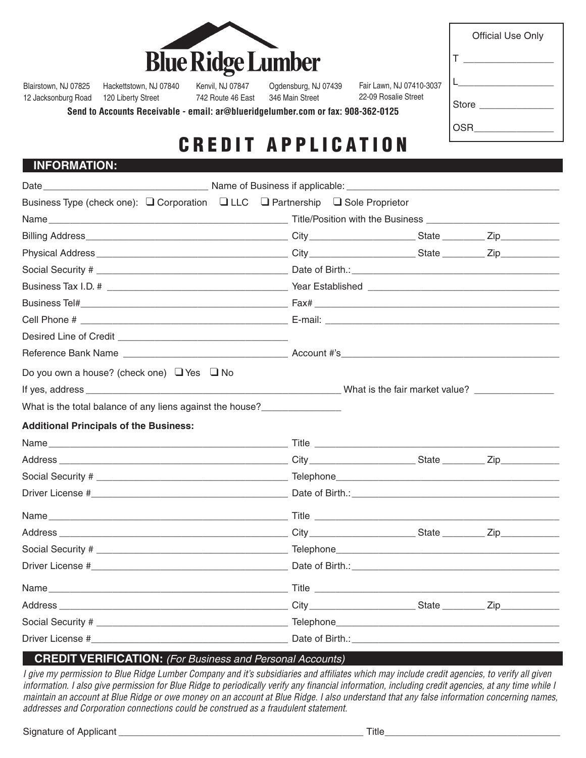| <b>Blue Ridge Lumber</b> |
|--------------------------|

| <b>Official Use Only</b> |
|--------------------------|
| т                        |
| L ___                    |
| Store __________         |
| OSR                      |

Blairstown, NJ 07825

12 Jacksonburg Road 120 Liberty Street Hackettstown, NJ 07840

Kenvil, NJ 07847 742 Route 46 East

Ogdensburg, NJ 07439 346 Main Street

Fair Lawn, NJ 07410-3037 22-09 Rosalie Street

**Send to Accounts Receivable - email: ar@blueridgelumber.com or fax: 908-362-0125**

# CREDIT APPLICATION

## **INFORMATION:**

| Business Type (check one): Q Corporation Q LLC Q Partnership Q Sole Proprietor |  |  |  |  |
|--------------------------------------------------------------------------------|--|--|--|--|
|                                                                                |  |  |  |  |
|                                                                                |  |  |  |  |
|                                                                                |  |  |  |  |
|                                                                                |  |  |  |  |
|                                                                                |  |  |  |  |
|                                                                                |  |  |  |  |
|                                                                                |  |  |  |  |
|                                                                                |  |  |  |  |
|                                                                                |  |  |  |  |
| Do you own a house? (check one) $\Box$ Yes $\Box$ No                           |  |  |  |  |
|                                                                                |  |  |  |  |
| What is the total balance of any liens against the house?________________      |  |  |  |  |
| <b>Additional Principals of the Business:</b>                                  |  |  |  |  |
|                                                                                |  |  |  |  |
|                                                                                |  |  |  |  |
|                                                                                |  |  |  |  |
|                                                                                |  |  |  |  |
|                                                                                |  |  |  |  |
|                                                                                |  |  |  |  |
|                                                                                |  |  |  |  |
|                                                                                |  |  |  |  |
|                                                                                |  |  |  |  |
|                                                                                |  |  |  |  |
|                                                                                |  |  |  |  |
|                                                                                |  |  |  |  |

## **CREDIT VERIFICATION:** *(For Business and Personal Accounts)*

*I give my permission to Blue Ridge Lumber Company and it's subsidiaries and affiliates which may include credit agencies, to verify all given information. I also give permission for Blue Ridge to periodically verify any financial information, including credit agencies, at any time while I maintain an account at Blue Ridge or owe money on an account at Blue Ridge. I also understand that any false information concerning names, addresses and Corporation connections could be construed as a fraudulent statement.*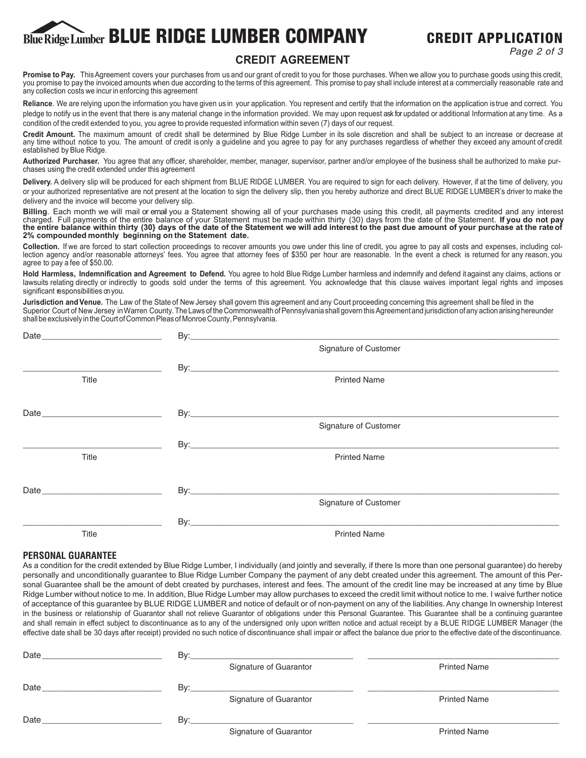# Blue Ridge Lumber BLUE RIDGE LUMBER COMPANY CREDIT APPLICATION

*Page 2 of 3*

## **CREDIT AGREEMENT**

Promise to Pay. This Agreement covers your purchases from us and our grant of credit to you for those purchases. When we allow you to purchase goods using this credit, you promise to pay the invoiced amounts when due according to the terms of this agreement. This promise to pay shall include interest at a commercially reasonable rate and any collection costs we incur in enforcing this agreement

Reliance. We are relying upon the information you have given us in your application. You represent and certify that the information on the application is true and correct. You pledge to notify us in the event that there is any material change in the information provided. We may upon request ask for updated or additional Information at any time. As a condition of the credit extended to you, you agree to provide requested information within seven (7) days of our request.

**Credit Amount.** The maximum amount of credit shall be determined by Blue Ridge Lumber in its sole discretion and shall be subject to an increase or decrease at any time without notice to you. The amount of credit is only a guideline and you agree to pay for any purchases regardless of whether they exceed any amount of credit established by Blue Ridge.

**Authorized Purchaser.** You agree that any officer, shareholder, member, manager, supervisor, partner and/or employee of the business shall be authorized to make purchases using the credit extended under this agreement

**Delivery.** A delivery slip will be produced for each shipment from BLUE RIDGE LUMBER. You are required to sign for each delivery. However, if at the time of delivery, you or your authorized representative are not present at the location to sign the delivery slip, then you hereby authorize and direct BLUE RIDGE LUMBER's driver to make the delivery and the invoice will become your delivery slip.

**Billing**. Each month we will mail or email you a Statement showing all of your purchases made using this credit, all payments credited and any interest charged. Full payments of the entire balance of your Statement must be made within thirty (30) days from the date of the Statement. **If you do not pay the entire balance within thirty (30} days of the date of the Statement we will add interest to the past due amount of your purchase at the rateof 2% compounded monthly beginning on the Statement date.**

**Collection.** If we are forced to start collection proceedings to recover amounts you owe under this line of credit, you agree to pay all costs and expenses, including collection agency and/or reasonable attorneys' fees. You agree that attorney fees of \$350 per hour are reasonable. In the event a check is returned for any reason, you agree to pay a fee of \$50.00.

**Hold Harmless, Indemnification and Agreement to Defend.** You agree to hold Blue Ridge Lumber harmless and indemnify and defend it against any claims, actions or lawsuits relating directly or indirectly to goods sold under the terms of this agreement. You acknowledge that this clause waives important legal rights and imposes significant responsibilities on you.

**Jurisdiction and Venue.** The Law of the State of New Jersey shall govern this agreement and any Court proceeding concerning this agreement shall be filed in the Superior Court of New Jersey in Warren County. The Laws of the Commonwealth of Pennsylvania shall govern this Agreement and jurisdiction of any action arising hereunder shall be exclusively in the Court of Common Pleas of Monroe County, Pennsylvania.

|              | Signature of Customer |  |
|--------------|-----------------------|--|
|              |                       |  |
| <b>Title</b> | <b>Printed Name</b>   |  |
|              |                       |  |
|              |                       |  |
|              | Signature of Customer |  |
|              |                       |  |
| <b>Title</b> | <b>Printed Name</b>   |  |
|              |                       |  |
|              |                       |  |
|              | Signature of Customer |  |
|              |                       |  |
| Title        | <b>Printed Name</b>   |  |

### **PERSONAL GUARANTEE**

As a condition for the credit extended by Blue Ridge Lumber, I individually (and jointly and severally, if there Is more than one personal guarantee) do hereby personally and unconditionally guarantee to Blue Ridge Lumber Company the payment of any debt created under this agreement. The amount of this Personal Guarantee shall be the amount of debt created by purchases, interest and fees. The amount of the credit line may be increased at any time by Blue Ridge Lumber without notice to me. In addition, Blue Ridge Lumber may allow purchases to exceed the credit limit without notice to me. I waive further notice of acceptance of this guarantee by BLUE RIDGE LUMBER and notice of default or of non-payment on any of the liabilities. Any change In ownership Interest in the business or relationship of Guarantor shall not relieve Guarantor of obligations under this Personal Guarantee. This Guarantee shall be a continuing guarantee and shall remain in effect subject to discontinuance as to any of the undersigned only upon written notice and actual receipt by a BLUE RIDGE LUMBER Manager (the effective date shall be 30 days after receipt) provided no such notice of discontinuance shall impair or affect the balance due prior to the effective date of the discontinuance.

| Date | By: | <u> 1989 - Andrea San Andrea San Aonaichte ann an Comhair an Chomhair ann an t-Aonaichte ann an t-Aonaichte ann an</u> |                     |
|------|-----|------------------------------------------------------------------------------------------------------------------------|---------------------|
|      |     | Signature of Guarantor                                                                                                 | <b>Printed Name</b> |
| Date | Bv: |                                                                                                                        |                     |
|      |     | Signature of Guarantor                                                                                                 | <b>Printed Name</b> |
| Date | Bv: |                                                                                                                        |                     |
|      |     | Signature of Guarantor                                                                                                 | <b>Printed Name</b> |